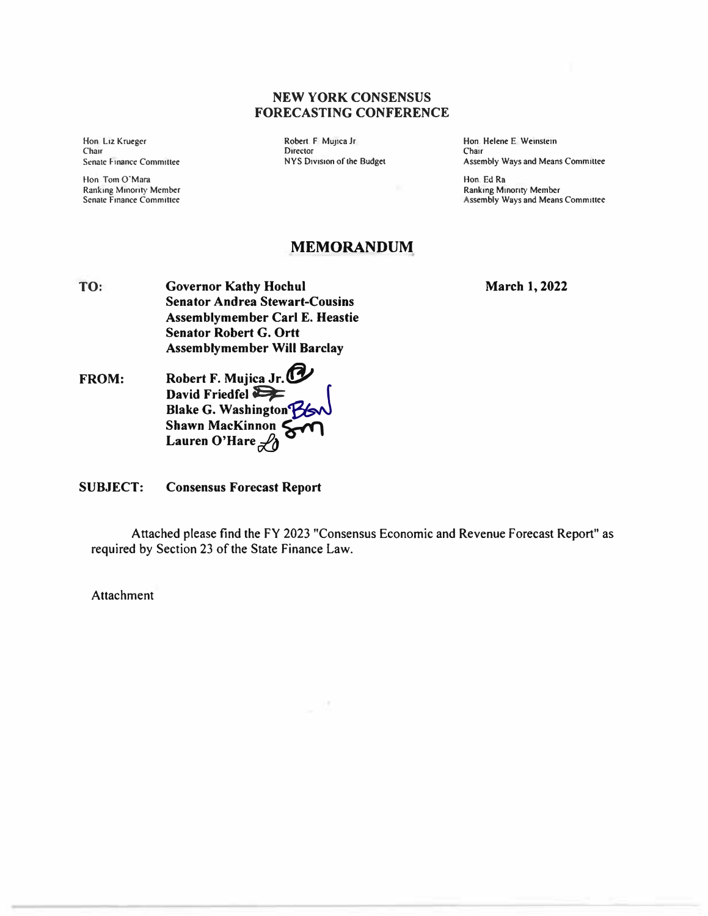### **NEW YORK CONSENSUS FORECASTING CONFERENCE**

**Hon Liz Krueger Chair**<br>Senate Finance Committee

**Hon Tom 0-Mara Ranking Minority Member Senate Finance Committee** 

Robert. F Munca Jr **Director NYS Division of the Budget**  **Hon. Helene E Wemstem Chair Assembly Ways and Means Commlltee** 

**Hon. Ed Ra Ranking Minority Member Assembly Ways and Means Committee** 

# **MEMORANDUM**

- **TO: Governor Kathy Hochul Senator Andrea Stewart-Cousins Assemblymember Carl E. Heastie Senator Robert G. Ortt Assemblymember Will Barclay**
- **FROM:**  Robert F. Mujica Jr.<sup>1</sup> David Friedfel  $\sum$ **Blake G. Washington� Shawn MacKinnon 4**<br>Lauren O'Hare <sup>2</sup>0

#### **SUBJECT: Consensus Forecast Report**

**Attached please find the FY 2023 "Consensus Economic and Revenue Forecast Report" as required by Section 23 of the State Finance Law.** 

**Attachment** 

**March 1, 2022**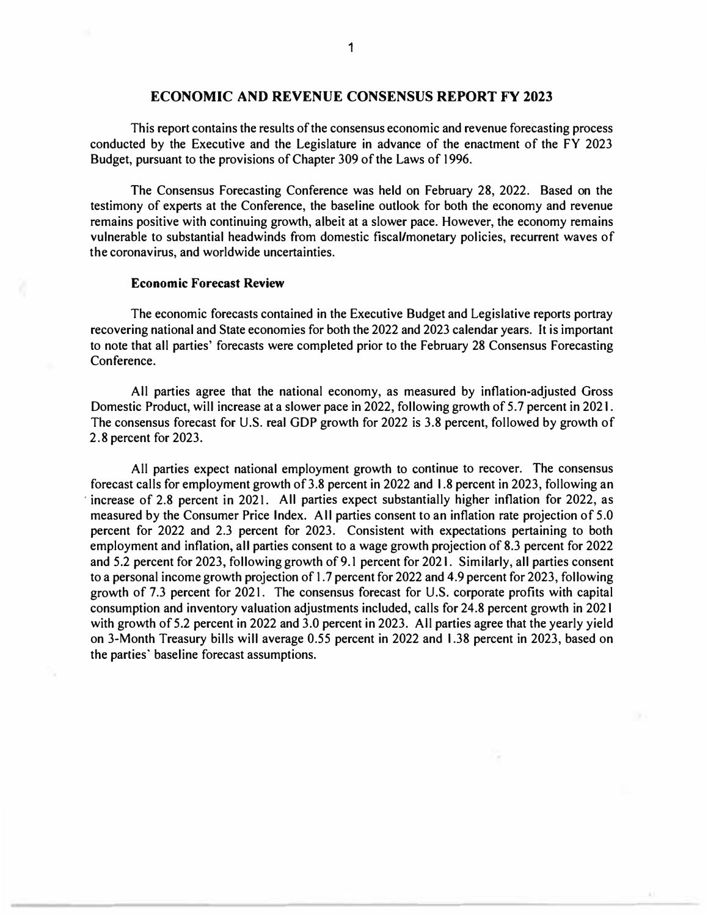## **ECONOMIC AND REVENUE CONSENSUS REPORT FY 2023**

This report contains the results of the consensus economic and revenue forecasting process conducted by the Executive and the Legislature in advance of the enactment of the FY 2023 Budget, pursuant to the provisions of Chapter 309 of the Laws of 1996.

The Consensus Forecasting Conference was held on February 28, 2022. Based on the testimony of experts at the Conference, the baseline outlook for both the economy and revenue remains positive with continuing growth, albeit at a slower pace. However, the economy remains vulnerable to substantial headwinds from domestic fiscal/monetary policies, recurrent waves of the coronavirus, and worldwide uncertainties.

#### **Economic Forecast Review**

The economic forecasts contained in the Executive Budget and Legislative reports portray recovering national and State economies for both the 2022 and 2023 calendar years. It is important to note that all parties' forecasts were completed prior to the February 28 Consensus Forecasting Conference.

All parties agree that the national economy, as measured by inflation-adjusted Gross Domestic Product, will increase at a slower pace in 2022, following growth of 5.7 percent in 2021. The consensus forecast for U.S. real GDP growth for 2022 is 3.8 percent, followed by growth of 2.8 percent for 2023.

All parties expect national employment growth to continue to recover. The consensus forecast calls for employment growth of 3.8 percent in 2022 and 1.8 percent in 2023, following an increase of 2.8 percent in 2021. All parties expect substantially higher inflation for 2022, as measured by the Consumer Price Index. All parties consent to an inflation rate projection of 5.0 percent for 2022 and 2.3 percent for 2023. Consistent with expectations pertaining to both employment and inflation, all parties consent to a wage growth projection of 8.3 percent for 2022 and 5.2 percent for 2023, following growth of 9.1 percent for 2021. Similarly, all parties consent to a personal income growth projection of 1.7 percent for 2022 and 4.9 percent for 2023, following growth of 7.3 percent for 2021. The consensus forecast for U.S. corporate profits with capital consumption and inventory valuation adjustments included, calls for 24.8 percent growth in 2021 with growth of 5.2 percent in 2022 and 3.0 percent in 2023. All parties agree that the yearly yield on 3-Month Treasury bills will average 0.55 percent in 2022 and 1.38 percent in 2023, based on the parties· baseline forecast assumptions.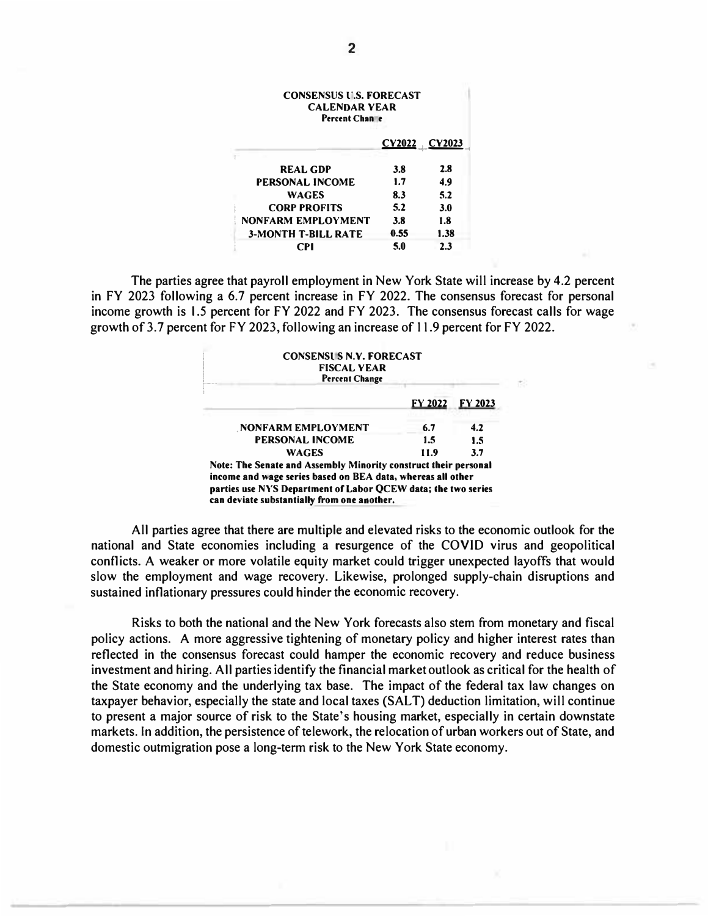| <b>CONSENSUS U.S. FORECAST</b><br><b>CALENDAR YEAR</b><br>Percent Channe |      |               |  |
|--------------------------------------------------------------------------|------|---------------|--|
|                                                                          |      | CY2022 CY2023 |  |
| <b>REAL GDP</b>                                                          | 3.8  | 2.8           |  |
| <b>PERSONAL INCOME</b>                                                   | 1.7  | 4.9           |  |
| <b>WAGES</b>                                                             | 8.3  | 5.2           |  |
| <b>CORP PROFITS</b>                                                      | 5.2  | <b>3.0</b>    |  |
| NONFARM EMPLOYMENT                                                       | 3.8  | 1.8           |  |
| <b>3-MONTH T-BILL RATE</b>                                               | 0.55 | 1.38          |  |
| CPI                                                                      | 5.0  | 2.3           |  |

The parties agree that payroll employment in New York State will increase by 4.2 percent in FY 2023 following a 6.7 percent increase in FY 2022. The consensus forecast for personal income growth is 1.5 percent for FY 2022 and FY 2023. The consensus forecast calls for wage growth of 3.7 percent for FY 2023, following an increase of 11.9 percent for FY 2022.

| <b>CONSENSUS N.Y. FORECAST</b><br><b>FISCAL YEAR</b><br><b>Percent Change</b>                                                                                                                                                                  |      |         |
|------------------------------------------------------------------------------------------------------------------------------------------------------------------------------------------------------------------------------------------------|------|---------|
|                                                                                                                                                                                                                                                |      | FY 2023 |
| NONFARM EMPLOYMENT                                                                                                                                                                                                                             | 6.7  | 4.2     |
| <b>PERSONAL INCOME</b>                                                                                                                                                                                                                         | 1.5  | 1.5     |
| <b>WAGES</b>                                                                                                                                                                                                                                   | 11.9 | 3.7     |
| Note: The Senate and Assembly Minority construct their personal<br>income and wage series based on BEA data, whereas all other<br>parties use NYS Department of Labor QCEW data; the two series<br>can deviate substantially from one another. |      |         |

All parties agree that there are multiple and elevated risks to the economic outlook for the national and State economies including a resurgence of the COVID virus and geopolitical conflicts. A weaker or more volatile equity market could trigger unexpected layoffs that would slow the employment and wage recovery. Likewise, prolonged supply-chain disruptions and sustained inflationary pressures could hinder the economic recovery.

Risks to both the national and the New York forecasts also stem from monetary and fiscal policy actions. A more aggressive tightening of monetary policy and higher interest rates than reflected in the consensus forecast could hamper the economic recovery and reduce business investment and hiring. All parties identify the financial market outlook as critical for the health of the State economy and the underlying tax base. The impact of the federal tax law changes on taxpayer behavior, especially the state and local taxes (SALT) deduction limitation, will continue to present a major source of risk to the State's housing market, especially in certain downstate markets. In addition, the persistence of telework, the relocation of urban workers out of State, and domestic outmigration pose a long-term risk to the New York State economy.